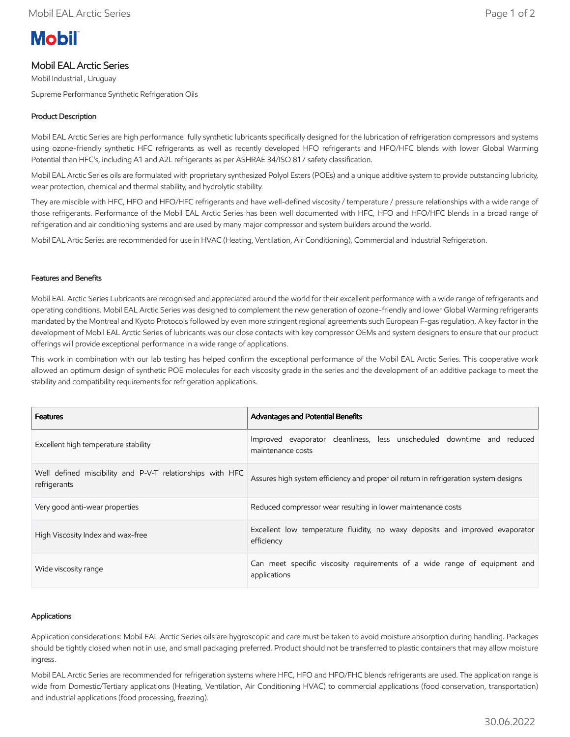# **Mobil**

# Mobil EAL Arctic Series

Mobil Industrial , Uruguay

Supreme Performance Synthetic Refrigeration Oils

## Product Description

Mobil EAL Arctic Series are high performance fully synthetic lubricants specifically designed for the lubrication of refrigeration compressors and systems using ozone-friendly synthetic HFC refrigerants as well as recently developed HFO refrigerants and HFO/HFC blends with lower Global Warming Potential than HFC's, including A1 and A2L refrigerants as per ASHRAE 34/ISO 817 safety classification.

Mobil EAL Arctic Series oils are formulated with proprietary synthesized Polyol Esters (POEs) and a unique additive system to provide outstanding lubricity, wear protection, chemical and thermal stability, and hydrolytic stability.

They are miscible with HFC, HFO and HFO/HFC refrigerants and have well-defined viscosity / temperature / pressure relationships with a wide range of those refrigerants. Performance of the Mobil EAL Arctic Series has been well documented with HFC, HFO and HFO/HFC blends in a broad range of refrigeration and air conditioning systems and are used by many major compressor and system builders around the world.

Mobil EAL Artic Series are recommended for use in HVAC (Heating, Ventilation, Air Conditioning), Commercial and Industrial Refrigeration.

## Features and Benefits

Mobil EAL Arctic Series Lubricants are recognised and appreciated around the world for their excellent performance with a wide range of refrigerants and operating conditions. Mobil EAL Arctic Series was designed to complement the new generation of ozone-friendly and lower Global Warming refrigerants mandated by the Montreal and Kyoto Protocols followed by even more stringent regional agreements such European F-gas regulation. A key factor in the development of Mobil EAL Arctic Series of lubricants was our close contacts with key compressor OEMs and system designers to ensure that our product offerings will provide exceptional performance in a wide range of applications.

This work in combination with our lab testing has helped confirm the exceptional performance of the Mobil EAL Arctic Series. This cooperative work allowed an optimum design of synthetic POE molecules for each viscosity grade in the series and the development of an additive package to meet the stability and compatibility requirements for refrigeration applications.

| <b>Features</b>                                                           | <b>Advantages and Potential Benefits</b>                                                    |  |  |  |  |  |  |
|---------------------------------------------------------------------------|---------------------------------------------------------------------------------------------|--|--|--|--|--|--|
| Excellent high temperature stability                                      | Improved evaporator cleanliness, less unscheduled downtime and reduced<br>maintenance costs |  |  |  |  |  |  |
| Well defined miscibility and P-V-T relationships with HFC<br>refrigerants | Assures high system efficiency and proper oil return in refrigeration system designs        |  |  |  |  |  |  |
| Very good anti-wear properties                                            | Reduced compressor wear resulting in lower maintenance costs                                |  |  |  |  |  |  |
| High Viscosity Index and wax-free                                         | Excellent low temperature fluidity, no waxy deposits and improved evaporator<br>efficiency  |  |  |  |  |  |  |
| Wide viscosity range                                                      | Can meet specific viscosity requirements of a wide range of equipment and<br>applications   |  |  |  |  |  |  |

### Applications

Application considerations: Mobil EAL Arctic Series oils are hygroscopic and care must be taken to avoid moisture absorption during handling. Packages should be tightly closed when not in use, and small packaging preferred. Product should not be transferred to plastic containers that may allow moisture ingress.

Mobil EAL Arctic Series are recommended for refrigeration systems where HFC, HFO and HFO/FHC blends refrigerants are used. The application range is wide from Domestic/Tertiary applications (Heating, Ventilation, Air Conditioning HVAC) to commercial applications (food conservation, transportation) and industrial applications (food processing, freezing).